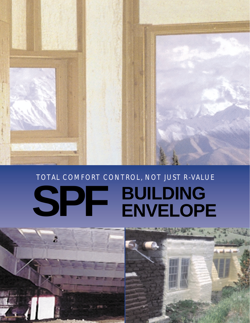

## TOTAL COMFORT CONTROL, NOT JUST R-VALUE **SPF BUILDING ENVELOPE**

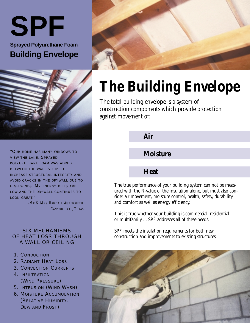**SPF Sprayed Polyurethane Foam Building Envelope**



"OUR HOME HAS MANY WINDOWS TO VIEW THE LAKE. SPRAYED POLYURETHANE FOAM WAS ADDED BETWEEN THE WALL STUDS TO INCREASE STRUCTURAL INTEGRITY AND AVOID CRACKS IN THE DRYWALL DUE TO HIGH WINDS. MY ENERGY BILLS ARE LOW AND THE DRYWALL CONTINUES TO LOOK GREAT."

> *-MR & MRS. RANDALL AUTENRIETH CANYON LAKE, TEXAS*

#### SIX MECHANISMS OF HEAT LOSS THROUGH A WALL OR CEILING

- 1. CONDUCTION
- 2. RADIANT HEAT LOSS
- 3. CONVECTION CURRENTS
- 4. INFILTRATION (WIND PRESSURE)
- 5. INTRUSION (WIND WASH)
- 6. MOISTURE ACCUMULATION (RELATIVE HUMIDITY, DEW AND FROST)



# **The Building Envelope**

The total building envelope is a system of construction components which provide protection against movement of:

**Air**

### **Moisture**

#### **Heat**

The true performance of your building system can not be measured with the R-value of the insulation alone, but must also consider air movement, moisture control, health, safety, durability and comfort as well as energy efficiency.

This is true whether your building is commercial, residential or multifamily ... SPF addresses all of these needs.

SPF meets the insulation requirements for both new construction and improvements to existing structures.

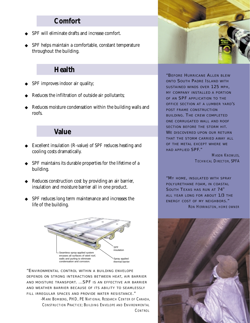#### **Comfort**

- SPF will eliminate drafts and increase comfort.
- SPF helps maintain a comfortable, constant temperature throughout the building.

### **Health**

- SPF improves indoor air quality;
- Reduces the infiltration of outside air pollutants;
- Reduces moisture condensation within the building walls and roofs.

#### **Value**

- Excellent insulation (R-value) of SPF reduces heating and cooling costs dramatically.
- ◆ SPF maintains its durable properties for the lifetime of a building.
- ◆ Reduces construction cost by providing an air barrier, insulation and moisture barrier all in one product.
- SPF reduces long term maintenance and increases the life of the building.



"ENVIRONMENTAL CONTROL WITHIN A BUILDING ENVELOPE DEPENDS ON STRONG INTERACTIONS BETWEEN HEAT, AIR BARRIER AND MOISTURE TRANSPORT. ...SPF IS AN EFFECTIVE AIR BARRIER AND WEATHER BARRIER BECAUSE OF ITS ABILITY TO SEAMLESSLY FILL IRREGULAR SPACES AND PROVIDE WATER RESISTANCE."

> *-MARK BOMBERG, PHD, PE NATIONAL RESEARCH CENTER OF CANADA, CONSTRUCTION PRACTICE; BUILDING ENVELOPE AND ENVIRONMENTAL CONTROL*



"BEFORE HURRICANE ALLEN BLEW ONTO SOUTH PADRE ISLAND WITH SUSTAINED WINDS OVER 125 MPH, MY COMPANY INSTALLED A PORTION OF AN SPF APPLICATION TO THE OFFICE SECTION AT A LUMBER YARD'S POST FRAME CONSTRUCTION BUILDING. THE CREW COMPLETED ONE CORRUGATED WALL AND ROOF SECTION BEFORE THE STORM HIT. WE DISCOVERED UPON OUR RETURN THAT THE STORM CARRIED AWAY ALL OF THE METAL EXCEPT WHERE WE HAD APPLIED SPF."

> *MASON KNOWLES, TECHNICAL DIRECTOR, SPFA*

"MY HOME, INSULATED WITH SPRAY POLYURETHANE FOAM, IN COASTAL SOUTH TEXAS HAS RUN AT 74<sup>°</sup> ALL YEAR LONG FOR ABOUT 1/3 THE ENERGY COST OF MY NEIGHBORS." *RON HERRINGTON, HOME OWNER*